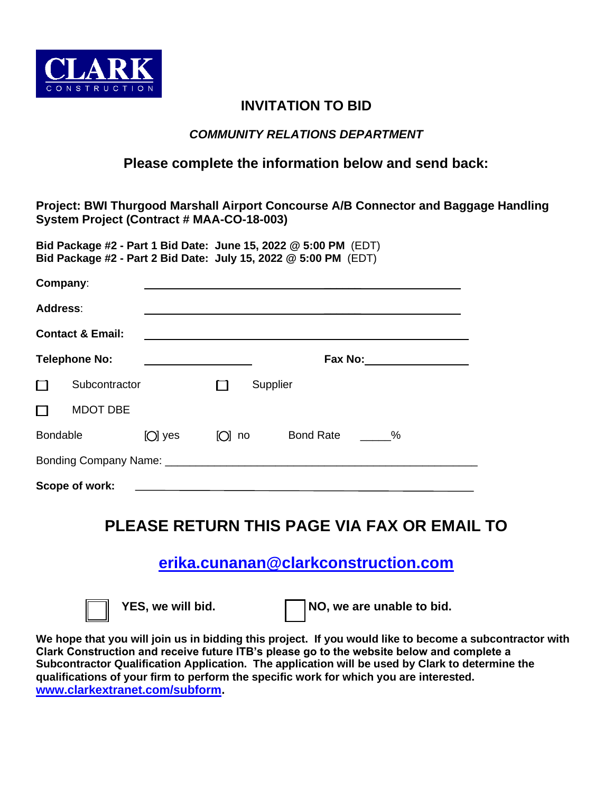

## **INVITATION TO BID**

### *COMMUNITY RELATIONS DEPARTMENT*

### **Please complete the information below and send back:**

**Project: BWI Thurgood Marshall Airport Concourse A/B Connector and Baggage Handling System Project (Contract # MAA-CO-18-003)**

**Bid Package #2 - Part 1 Bid Date: June 15, 2022 @ 5:00 PM** (EDT) **Bid Package #2 - Part 2 Bid Date: July 15, 2022 @ 5:00 PM** (EDT)

|                             | Company:        |           |          |  |                  |      |  |
|-----------------------------|-----------------|-----------|----------|--|------------------|------|--|
| <b>Address:</b>             |                 |           |          |  |                  |      |  |
| <b>Contact &amp; Email:</b> |                 |           |          |  |                  |      |  |
| <b>Telephone No:</b>        |                 |           | Fax No:  |  |                  |      |  |
| $\Box$                      | Subcontractor   |           | Supplier |  |                  |      |  |
| $\Box$                      | <b>MDOT DBE</b> |           |          |  |                  |      |  |
| <b>Bondable</b>             |                 | $[O]$ yes | $[O]$ no |  | <b>Bond Rate</b> | $\%$ |  |
|                             |                 |           |          |  |                  |      |  |
|                             | Scope of work:  |           |          |  |                  |      |  |

# **PLEASE RETURN THIS PAGE VIA FAX OR EMAIL TO**

## **[erika.cunanan@clarkconstruction.com](mailto:erika.cunanan@clarkconstruction.com)**

YES, we will bid. **NO**, we are unable to bid.

**We hope that you will join us in bidding this project. If you would like to become a subcontractor with Clark Construction and receive future ITB's please go to the website below and complete a Subcontractor Qualification Application. The application will be used by Clark to determine the qualifications of your firm to perform the specific work for which you are interested. [www.clarkextranet.com/subform.](http://www.clarkextranet.com/subform)**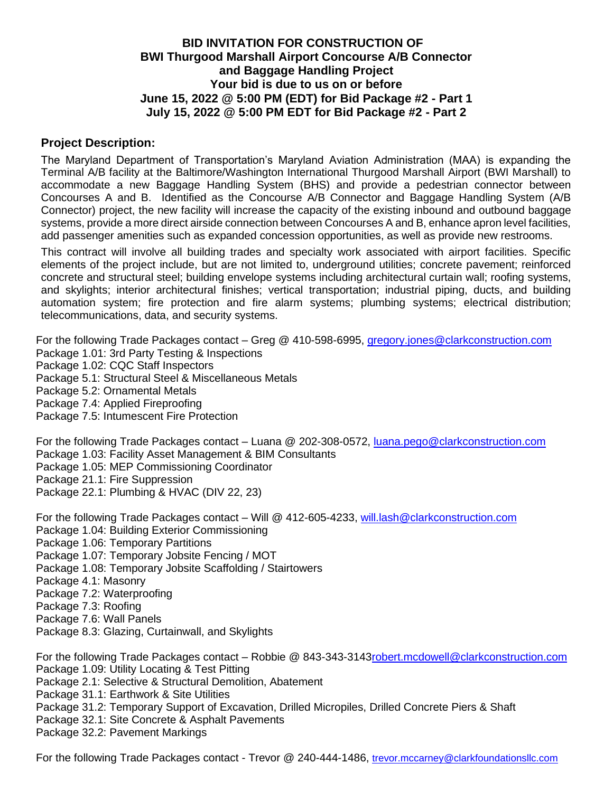#### **BID INVITATION FOR CONSTRUCTION OF BWI Thurgood Marshall Airport Concourse A/B Connector and Baggage Handling Project Your bid is due to us on or before June 15, 2022 @ 5:00 PM (EDT) for Bid Package #2 - Part 1 July 15, 2022 @ 5:00 PM EDT for Bid Package #2 - Part 2**

#### **Project Description:**

The Maryland Department of Transportation's Maryland Aviation Administration (MAA) is expanding the Terminal A/B facility at the Baltimore/Washington International Thurgood Marshall Airport (BWI Marshall) to accommodate a new Baggage Handling System (BHS) and provide a pedestrian connector between Concourses A and B. Identified as the Concourse A/B Connector and Baggage Handling System (A/B Connector) project, the new facility will increase the capacity of the existing inbound and outbound baggage systems, provide a more direct airside connection between Concourses A and B, enhance apron level facilities, add passenger amenities such as expanded concession opportunities, as well as provide new restrooms.

This contract will involve all building trades and specialty work associated with airport facilities. Specific elements of the project include, but are not limited to, underground utilities; concrete pavement; reinforced concrete and structural steel; building envelope systems including architectural curtain wall; roofing systems, and skylights; interior architectural finishes; vertical transportation; industrial piping, ducts, and building automation system; fire protection and fire alarm systems; plumbing systems; electrical distribution; telecommunications, data, and security systems.

For the following Trade Packages contact – Greg @ 410-598-6995, gregory.jones@clarkconstruction.com Package 1.01: 3rd Party Testing & Inspections Package 1.02: CQC Staff Inspectors Package 5.1: Structural Steel & Miscellaneous Metals Package 5.2: Ornamental Metals Package 7.4: Applied Fireproofing Package 7.5: Intumescent Fire Protection

For the following Trade Packages contact – Luana @ 202-308-0572, luana.pego@clarkconstruction.com Package 1.03: Facility Asset Management & BIM Consultants Package 1.05: MEP Commissioning Coordinator Package 21.1: Fire Suppression Package 22.1: Plumbing & HVAC (DIV 22, 23)

For the following Trade Packages contact – Will @ 412-605-4233, will.las[h@clarkconstruction.com](mailto:jada.jones@clarkconstruction.com) Package 1.04: Building Exterior Commissioning Package 1.06: Temporary Partitions Package 1.07: Temporary Jobsite Fencing / MOT Package 1.08: Temporary Jobsite Scaffolding / Stairtowers Package 4.1: Masonry Package 7.2: Waterproofing Package 7.3: Roofing

Package 7.6: Wall Panels

Package 8.3: Glazing, Curtainwall, and Skylights

For the following Trade Packages contact – Robbie @ 843-343-3143robert.mcdowel[l@clarkconstruction.com](mailto:alyssa.prill@clarkconstruction.com) Package 1.09: Utility Locating & Test Pitting Package 2.1: Selective & Structural Demolition, Abatement Package 31.1: Earthwork & Site Utilities Package 31.2: Temporary Support of Excavation, Drilled Micropiles, Drilled Concrete Piers & Shaft Package 32.1: Site Concrete & Asphalt Pavements Package 32.2: Pavement Markings

For the following Trade Packages contact - Trevor @ 240-444-1486, [trevor.mccarney@clarkfoundationsllc.com](mailto:trevor.mccarney@clarkfoundationsllc.com)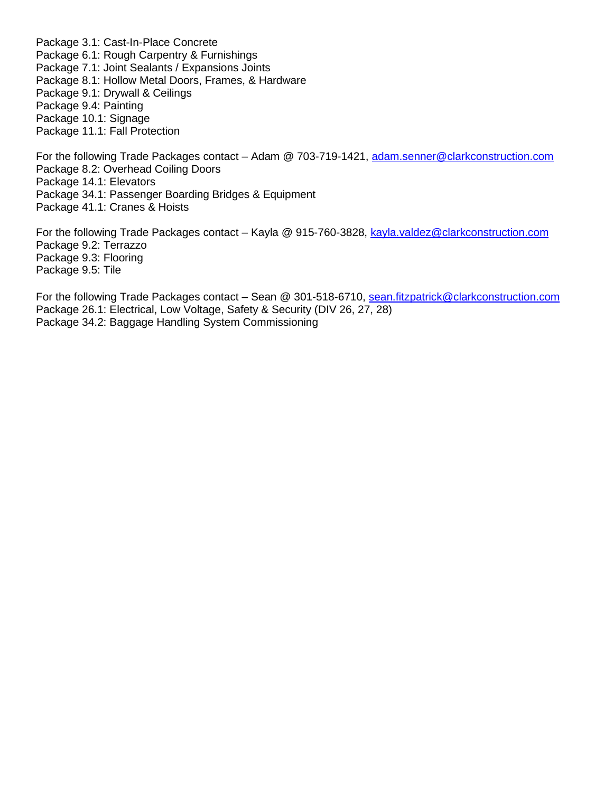Package 3.1: Cast-In-Place Concrete Package 6.1: Rough Carpentry & Furnishings Package 7.1: Joint Sealants / Expansions Joints Package 8.1: Hollow Metal Doors, Frames, & Hardware Package 9.1: Drywall & Ceilings Package 9.4: Painting Package 10.1: Signage Package 11.1: Fall Protection

For the following Trade Packages contact – Adam @ 703-719-1421, adam.senne[r@clarkconstruction.com](mailto:gareth.saums@clarkconstruction.com) Package 8.2: Overhead Coiling Doors Package 14.1: Elevators Package 34.1: Passenger Boarding Bridges & Equipment Package 41.1: Cranes & Hoists

For the following Trade Packages contact – Kayla @ 915-760-3828, kayla.valde[z@clarkconstruction.com](mailto:robert.butler@clarkconstruction.com) Package 9.2: Terrazzo Package 9.3: Flooring Package 9.5: Tile

For the following Trade Packages contact - Sean @ 301-518-6710, sean.fitzpatric[k@clarkconstruction.com](mailto:james.lawless@clarkconstruction.com) Package 26.1: Electrical, Low Voltage, Safety & Security (DIV 26, 27, 28) Package 34.2: Baggage Handling System Commissioning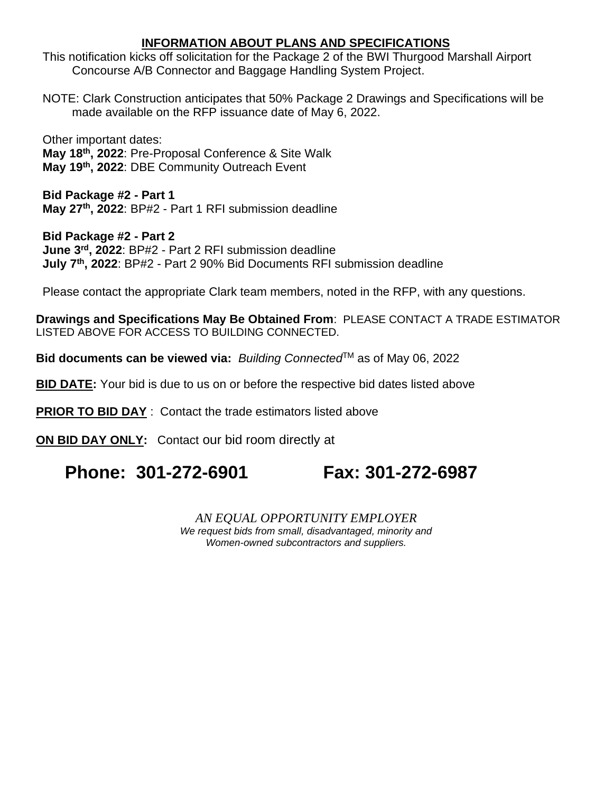### **INFORMATION ABOUT PLANS AND SPECIFICATIONS**

This notification kicks off solicitation for the Package 2 of the BWI Thurgood Marshall Airport Concourse A/B Connector and Baggage Handling System Project.

NOTE: Clark Construction anticipates that 50% Package 2 Drawings and Specifications will be made available on the RFP issuance date of May 6, 2022.

Other important dates: **May 18 th, 2022**: Pre-Proposal Conference & Site Walk **May 19th , 2022**: DBE Community Outreach Event

**Bid Package #2 - Part 1 May 27th, 2022**: BP#2 - Part 1 RFI submission deadline

**Bid Package #2 - Part 2 June 3 rd, 2022**: BP#2 - Part 2 RFI submission deadline **July 7th, 2022**: BP#2 - Part 2 90% Bid Documents RFI submission deadline

Please contact the appropriate Clark team members, noted in the RFP, with any questions.

**Drawings and Specifications May Be Obtained From**: PLEASE CONTACT A TRADE ESTIMATOR LISTED ABOVE FOR ACCESS TO BUILDING CONNECTED.

**Bid documents can be viewed via: Building Connected<sup>™</sup> as of May 06, 2022** 

**BID DATE:** Your bid is due to us on or before the respective bid dates listed above

**PRIOR TO BID DAY** : Contact the trade estimators listed above

**ON BID DAY ONLY:** Contact our bid room directly at

# **Phone: 301-272-6901 Fax: 301-272-6987**

*AN EQUAL OPPORTUNITY EMPLOYER We request bids from small, disadvantaged, minority and Women-owned subcontractors and suppliers.*